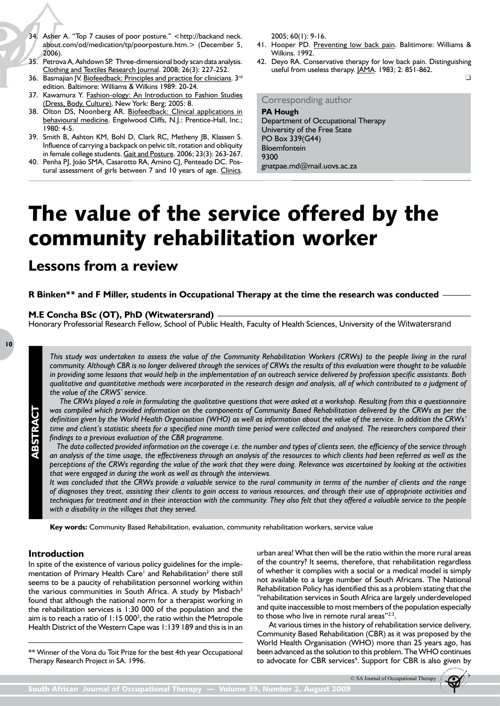# The value of the service offered by the community rehabilitation worker

## **Lessons from a review**

**R Binken\*\* and F Miller, students in Occupational Therapy at the time the research was conducted**

#### **M.E Concha BSc (OT), PhD (Witwatersrand)**

Honorary Professorial Research Fellow, School of Public Health, Faculty of Health Sciences, University of the Witwatersrand

**10**

**ABSTRACT**

ABSTRACT

*This study was undertaken to assess the value of the Community Rehabilitation Workers (CRWs) to the people living in the rural community. Although CBR is no longer delivered through the services of CRWs the results of this evaluation were thought to be valuable in providing some lessons that would help in the implementation of an outreach service delivered by profession specific assistants. Both qualitative and quantitative methods were incorporated in the research design and analysis, all of which contributed to a judgment of the value of the CRWS' service.*

*The CRWs played a role in formulating the qualitative questions that were asked at a workshop. Resulting from this a questionnaire was compiled which provided information on the components of Community Based Rehabilitation delivered by the CRWs as per the definition given by the World Health Organisation (WHO) as well as information about the value of the service. In addition the CRWs' time and client's statistic sheets for a specified nine month time period were collected and analysed. The researchers compared their findings to a previous evaluation of the CBR programme.*

 *The data collected provided information on the coverage i.e. the number and types of clients seen, the efficiency of the service through an analysis of the time usage, the effectiveness through an analysis of the resources to which clients had been referred as well as the perceptions of the CRWs regarding the value of the work that they were doing. Relevance was ascertained by looking at the activities that were engaged in during the work as well as through the interviews.*

*It was concluded that the CRWs provide a valuable service to the rural community in terms of the number of clients and the range of diagnoses they treat, assisting their clients to gain access to various resources, and through their use of appropriate activities and techniques for treatment and in their interaction with the community. They also felt that they offered a valuable service to the people with a disability in the villages that they served.*

**Key words:** Community Based Rehabilitation, evaluation, community rehabilitation workers, service value

## **Introduction**

In spite of the existence of various policy guidelines for the implementation of Primary Health Care<sup>1</sup> and Rehabilitation<sup>2</sup> there still seems to be a paucity of rehabilitation personnel working within the various communities in South Africa. A study by Misbach<sup>3</sup> found that although the national norm for a therapist working in the rehabilitation services is 1:30 000 of the population and the aim is to reach a ratio of  $1:15000^2$ , the ratio within the Metropole Health District of the Western Cape was 1:139 189 and this is in an

\*\* Winner of the Vona du Toit Prize for the best 4th year Occupational Therapy Research Project in SA. 1996.

urban area! What then will be the ratio within the more rural areas of the country? It seems, therefore, that rehabilitation regardless of whether it complies with a social or a medical model is simply not available to a large number of South Africans. The National Rehabilitation Policy has identified this as a problem stating that the "rehabilitation services in South Africa are largely underdeveloped and quite inaccessible to most members of the population especially to those who live in remote rural areas" $2:3$ .

At various times in the history of rehabilitation service delivery, Community Based Rehabilitation (CBR) as it was proposed by the World Health Organisation (WHO) more than 25 years ago, has been advanced as the solution to this problem. The WHO continues to advocate for CBR services<sup>4</sup>. Support for CBR is also given by

<sup>©</sup> SA Journal of Occupational Therapy

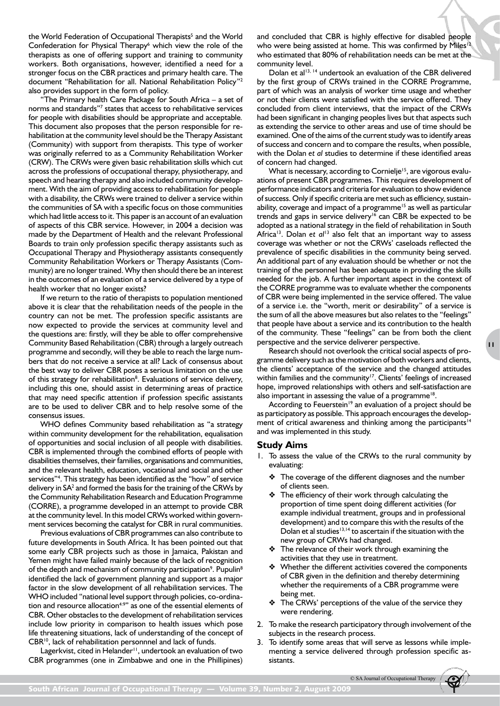the World Federation of Occupational Therapists<sup>5</sup> and the World Confederation for Physical Therapy<sup>6</sup> which view the role of the therapists as one of offering support and training to community workers. Both organisations, however, identified a need for a stronger focus on the CBR practices and primary health care. The document "Rehabilitation for all. National Rehabilitation Policy"2 also provides support in the form of policy.

"The Primary health Care Package for South Africa – a set of norms and standards"<sup>7</sup> states that access to rehabilitative services for people with disabilities should be appropriate and acceptable*.*  This document also proposes that the person responsible for rehabilitation at the community level should be the Therapy Assistant (Community) with support from therapists. This type of worker was originally referred to as a Community Rehabilitation Worker (CRW). The CRWs were given basic rehabilitation skills which cut across the professions of occupational therapy, physiotherapy, and speech and hearing therapy and also included community development. With the aim of providing access to rehabilitation for people with a disability, the CRWs were trained to deliver a service within the communities of SA with a specific focus on those communities which had little access to it. This paper is an account of an evaluation of aspects of this CBR service. However, in 2004 a decision was made by the Department of Health and the relevant Professional Boards to train only profession specific therapy assistants such as Occupational Therapy and Physiotherapy assistants consequently Community Rehabilitation Workers or Therapy Assistants (Community) are no longer trained. Why then should there be an interest in the outcomes of an evaluation of a service delivered by a type of health worker that no longer exists?

If we return to the ratio of therapists to population mentioned above it is clear that the rehabilitation needs of the people in the country can not be met. The profession specific assistants are now expected to provide the services at community level and the questions are: firstly, will they be able to offer comprehensive Community Based Rehabilitation (CBR) through a largely outreach programme and secondly, will they be able to reach the large numbers that do not receive a service at all? Lack of consensus about the best way to deliver CBR poses a serious limitation on the use of this strategy for rehabilitation<sup>8</sup>. Evaluations of service delivery, including this one, should assist in determining areas of practice that may need specific attention if profession specific assistants are to be used to deliver CBR and to help resolve some of the consensus issues.

WHO defines Community based rehabilitation as "a strategy within community development for the rehabilitation, equalisation of opportunities and social inclusion of all people with disabilities. CBR is implemented through the combined efforts of people with disabilities themselves, their families, organisations and communities, and the relevant health, education, vocational and social and other services"4 . This strategy has been identified as the "how" of service delivery in SA<sup>2</sup> and formed the basis for the training of the CRWs by the Community Rehabilitation Research and Education Programme (CORRE), a programme developed in an attempt to provide CBR at the community level. In this model CRWs worked within government services becoming the catalyst for CBR in rural communities.

Previous evaluations of CBR programmes can also contribute to future developments in South Africa. It has been pointed out that some early CBR projects such as those in Jamaica, Pakistan and Yemen might have failed mainly because of the lack of recognition of the depth and mechanism of community participation<sup>9</sup>. Pupulin<sup>8</sup> identified the lack of government planning and support as a major factor in the slow development of all rehabilitation services. The WHO included "national level support through policies, co-ordination and resource allocation<sup>4:9"</sup> as one of the essential elements of CBR. Other obstacles to the development of rehabilitation services include low priority in comparison to health issues which pose life threatening situations, lack of understanding of the concept of CBR10, lack of rehabilitation personnnel and lack of funds.

Lagerkvist, cited in Helander<sup>11</sup>, undertook an evaluation of two CBR programmes (one in Zimbabwe and one in the Phillipines) and concluded that CBR is highly effective for disabled people who were being assisted at home. This was confirmed by Miles<sup>12</sup> who estimated that 80% of rehabilitation needs can be met at the community level.

Dolan et al<sup>13, 14</sup> undertook an evaluation of the CBR delivered by the first group of CRWs trained in the CORRE Programme, part of which was an analysis of worker time usage and whether or not their clients were satisfied with the service offered. They concluded from client interviews, that the impact of the CRWs had been significant in changing peoples lives but that aspects such as extending the service to other areas and use of time should be examined. One of the aims of the current study was to identify areas of success and concern and to compare the results, when possible, with the Dolan *et al* studies to determine if these identified areas of concern had changed.

What is necessary, according to Cornielje<sup>15</sup>, are vigorous evaluations of present CBR programmes. This requires development of performance indicators and criteria for evaluation to show evidence of success. Only if specific criteria are met such as efficiency, sustainability, coverage and impact of a programme<sup>15</sup> as well as particular trends and gaps in service delivery<sup>16</sup> can CBR be expected to be adopted as a national strategy in the field of rehabilitation in South Africa<sup>13</sup>. Dolan et al<sup>13</sup> also felt that an important way to assess coverage was whether or not the CRWs' caseloads reflected the prevalence of specific disabilities in the community being served. An additional part of any evaluation should be whether or not the training of the personnel has been adequate in providing the skills needed for the job. A further important aspect in the context of the CORRE programme was to evaluate whether the components of CBR were being implemented in the service offered. The value of a service i.e. the "worth, merit or desirability" of a service is the sum of all the above measures but also relates to the "feelings" that people have about a service and its contribution to the health of the community. These "feelings" can be from both the client perspective and the service deliverer perspective.

Research should not overlook the critical social aspects of programme delivery such as the motivation of both workers and clients, the clients' acceptance of the service and the changed attitudes within families and the community<sup>17</sup>. Clients' feelings of increased hope, improved relationships with others and self-satisfaction are also important in assessing the value of a programme<sup>18</sup>.

**11**

According to Feuerstein<sup>19</sup> an evaluation of a project should be as participatory as possible. This approach encourages the development of critical awareness and thinking among the participants<sup>14</sup> and was implemented in this study.

## **Study Aims**

- 1. To assess the value of the CRWs to the rural community by evaluating:
	- ❖ The coverage of the different diagnoses and the number of clients seen.
	- The efficiency of their work through calculating the proportion of time spent doing different activities (for example individual treatment, groups and in professional development) and to compare this with the results of the Dolan et al studies $13,14$  to ascertain if the situation with the new group of CRWs had changed.
	- ❖ The relevance of their work through examining the activities that they use in treatment.
	- ❖ Whether the different activities covered the components of CBR given in the definition and thereby determining whether the requirements of a CBR programme were being met.
	- ❖ The CRWs' perceptions of the value of the service they were rendering.
- 2. To make the research participatory through involvement of the subjects in the research process.
- 3. To identify some areas that will serve as lessons while implementing a service delivered through profession specific assistants.

© SA Journal of Occupational Therapy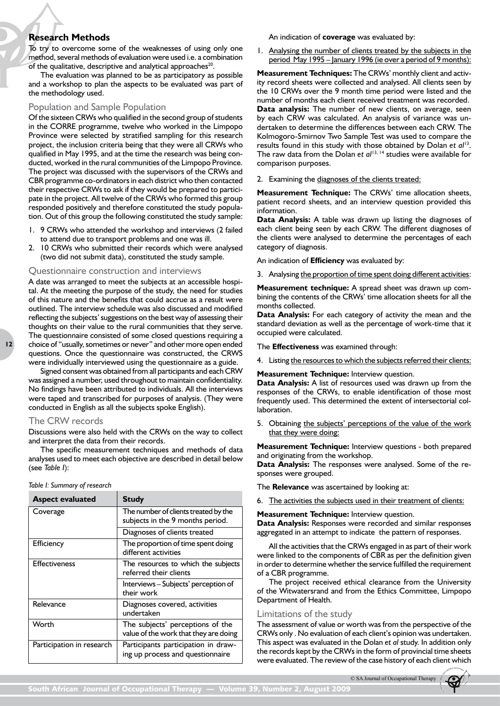## **Research Methods**

To try to overcome some of the weaknesses of using only one method, several methods of evaluation were used i.e. a combination of the qualitative, descriptive and analytical approaches<sup>20</sup>.

The evaluation was planned to be as participatory as possible and a workshop to plan the aspects to be evaluated was part of the methodology used.

## Population and Sample Population

Of the sixteen CRWs who qualified in the second group of students in the CORRE programme, twelve who worked in the Limpopo Province were selected by stratified sampling for this research project, the inclusion criteria being that they were all CRWs who qualified in May 1995, and at the time the research was being conducted, worked in the rural communities of the Limpopo Province. The project was discussed with the supervisors of the CRWs and CBR programme co-ordinators in each district who then contacted their respective CRWs to ask if they would be prepared to participate in the project. All twelve of the CRWs who formed this group responded positively and therefore constituted the study population. Out of this group the following constituted the study sample:

- 1. 9 CRWs who attended the workshop and interviews (2 failed to attend due to transport problems and one was ill.
- 2. 10 CRWs who submitted their records which were analysed (two did not submit data), constituted the study sample.

#### Questionnaire construction and interviews

A date was arranged to meet the subjects at an accessible hospital. At the meeting the purpose of the study, the need for studies of this nature and the benefits that could accrue as a result were outlined. The interview schedule was also discussed and modified reflecting the subjects' suggestions on the best way of assessing their thoughts on their value to the rural communities that they serve. The questionnaire consisted of some closed questions requiring a choice of "usually, sometimes or never" and other more open ended questions. Once the questionnaire was constructed, the CRWS were individually interviewed using the questionnaire as a guide.

Signed consent was obtained from all participants and each CRW was assigned a number, used throughout to maintain confidentiality. No findings have been attributed to individuals. All the interviews were taped and transcribed for purposes of analysis. (They were conducted in English as all the subjects spoke English).

### The CRW records

Discussions were also held with the CRWs on the way to collect and interpret the data from their records.

The specific measurement techniques and methods of data analyses used to meet each objective are described in detail below (see *Table I*):

#### *Table I: Summary of research*

| <b>Aspect evaluated</b>   | <b>Study</b>                                                              |  |  |
|---------------------------|---------------------------------------------------------------------------|--|--|
| Coverage                  | The number of clients treated by the<br>subjects in the 9 months period.  |  |  |
|                           | Diagnoses of clients treated                                              |  |  |
| <b>Efficiency</b>         | The proportion of time spent doing<br>different activities                |  |  |
| <b>Effectiveness</b>      | The resources to which the subjects<br>referred their clients             |  |  |
|                           | Interviews - Subjects' perception of<br>their work                        |  |  |
| Relevance                 | Diagnoses covered, activities<br>undertaken                               |  |  |
| Worth                     | The subjects' perceptions of the<br>value of the work that they are doing |  |  |
| Participation in research | Participants participation in draw-<br>ing up process and questionnaire   |  |  |

An indication of **coverage** was evaluated by:

1. Analysing the number of clients treated by the subjects in the period May 1995 – January 1996 (ie over a period of 9 months):

**Measurement Techniques:** The CRWs' monthly client and activity record sheets were collected and analysed. All clients seen by the 10 CRWs over the 9 month time period were listed and the number of months each client received treatment was recorded. **Data analysis:** The number of new clients, on average, seen by each CRW was calculated. An analysis of variance was undertaken to determine the differences between each CRW. The Kolmogoro-Smirnov Two Sample Test was used to compare the results found in this study with those obtained by Dolan *et al*13. The raw data from the Dolan et al<sup>13, 14</sup> studies were available for comparison purposes.

2. Examining the diagnoses of the clients treated:

**Measurement Technique:** The CRWs' time allocation sheets, patient record sheets, and an interview question provided this information.

**Data Analysis:** A table was drawn up listing the diagnoses of each client being seen by each CRW. The different diagnoses of the clients were analysed to determine the percentages of each category of diagnosis.

An indication of **Efficiency** was evaluated by:

3. Analysing the proportion of time spent doing different activities:

**Measurement technique:** A spread sheet was drawn up combining the contents of the CRWs' time allocation sheets for all the months collected.

**Data Analysis:** For each category of activity the mean and the standard deviation as well as the percentage of work-time that it occupied were calculated.

The **Effectiveness** was examined through:

4. Listing the resources to which the subjects referred their clients:

**Measurement Technique:** Interview question.

**Data Analysis:** A list of resources used was drawn up from the responses of the CRWs, to enable identification of those most frequently used. This determined the extent of intersectorial collaboration.

5. Obtaining the subjects' perceptions of the value of the work that they were doing:

**Measurement Technique:** Interview questions - both prepared and originating from the workshop.

**Data Analysis:** The responses were analysed. Some of the responses were grouped.

The **Relevance** was ascertained by looking at:

6. The activities the subjects used in their treatment of clients:

**Measurement Technique:** Interview question.

**Data Analysis:** Responses were recorded and similar responses aggregated in an attempt to indicate the pattern of responses.

All the activities that the CRWs engaged in as part of their work were linked to the components of CBR as per the definition given in order to determine whether the service fulfilled the requirement of a CBR programme.

The project received ethical clearance from the University of the Witwatersrand and from the Ethics Committee, Limpopo Department of Health.

#### Limitations of the study

The assessment of value or worth was from the perspective of the CRWs only . No evaluation of each client's opinion was undertaken. This aspect was evaluated in the Dolan *et al* study. In addition only the records kept by the CRWs in the form of provincial time sheets were evaluated. The review of the case history of each client which

© SA Journal of Occupational Therapy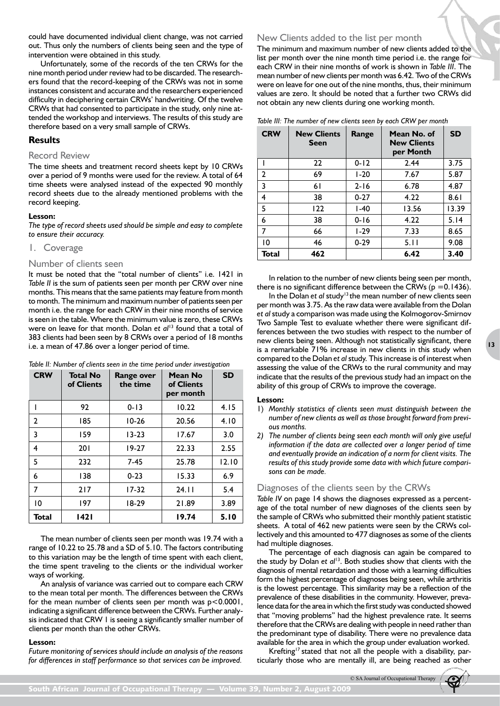could have documented individual client change, was not carried out. Thus only the numbers of clients being seen and the type of intervention were obtained in this study.

Unfortunately, some of the records of the ten CRWs for the nine month period under review had to be discarded. The researchers found that the record-keeping of the CRWs was not in some instances consistent and accurate and the researchers experienced difficulty in deciphering certain CRWs' handwriting. Of the twelve CRWs that had consented to participate in the study, only nine attended the workshop and interviews. The results of this study are therefore based on a very small sample of CRWs.

## **Results**

#### Record Review

The time sheets and treatment record sheets kept by 10 CRWs over a period of 9 months were used for the review. A total of 64 time sheets were analysed instead of the expected 90 monthly record sheets due to the already mentioned problems with the record keeping.

#### **Lesson:**

*The type of record sheets used should be simple and easy to complete to ensure their accuracy.*

#### 1. Coverage

#### Number of clients seen

It must be noted that the "total number of clients" i.e. 1421 in *Table II* is the sum of patients seen per month per CRW over nine months. This means that the same patients may feature from month to month. The minimum and maximum number of patients seen per month i.e. the range for each CRW in their nine months of service is seen in the table. Where the minimum value is zero, these CRWs were on leave for that month. Dolan *et al*<sup>13</sup> found that a total of 383 clients had been seen by 8 CRWs over a period of 18 months i.e. a mean of 47.86 over a longer period of time.

| <b>CRW</b> | <b>Total No</b><br>of Clients | Range over<br>the time | Mean No<br>of Clients<br>per month | <b>SD</b> |
|------------|-------------------------------|------------------------|------------------------------------|-----------|
|            | 92                            | $0 - 13$               | 10.22                              | 4.15      |
| 2          | 185                           | $10 - 26$              | 20.56                              | 4.10      |
| 3          | 159                           | $13 - 23$              | 17.67                              | 3.0       |
| 4          | 201                           | $19-27$                | 22.33                              | 2.55      |
| 5          | 232                           | $7-45$                 | 25.78                              | 12.10     |
| 6          | 138                           | $0 - 23$               | 15.33                              | 6.9       |
| 7          | 217                           | $17 - 32$              | 24.11                              | 5.4       |
| 10         | 197                           | $18-29$                | 21.89                              | 3.89      |
| Total      | 1421                          |                        | 19.74                              | 5.10      |

*Table II: Number of clients seen in the time period under investigation*

The mean number of clients seen per month was 19.74 with a range of 10.22 to 25.78 and a SD of 5.10. The factors contributing to this variation may be the length of time spent with each client, the time spent traveling to the clients or the individual worker ways of working.

An analysis of variance was carried out to compare each CRW to the mean total per month. The differences between the CRWs for the mean number of clients seen per month was p<0.0001, indicating a significant difference between the CRWs. Further analysis indicated that CRW 1 is seeing a significantly smaller number of clients per month than the other CRWs.

#### **Lesson:**

*Future monitoring of services should include an analysis of the reasons for differences in staff performance so that services can be improved.*

## New Clients added to the list per month

The minimum and maximum number of new clients added to the list per month over the nine month time period i.e. the range for each CRW in their nine months of work is shown in *Table III*. The mean number of new clients per month was 6.42. Two of the CRWs were on leave for one out of the nine months, thus, their minimum values are zero. It should be noted that a further two CRWs did not obtain any new clients during one working month.

| Table III: The number of new clients seen by each CRW per month |  |  |  |  |
|-----------------------------------------------------------------|--|--|--|--|
|                                                                 |  |  |  |  |

| <b>CRW</b> | <b>New Clients</b><br>Seen | Range    | Mean No. of<br><b>New Clients</b><br>per Month | <b>SD</b> |  |
|------------|----------------------------|----------|------------------------------------------------|-----------|--|
|            | 22                         | $0 - 12$ | 2.44                                           | 3.75      |  |
| 2          | 69                         | $1-20$   | 7.67                                           | 5.87      |  |
| 3          | 61                         | $2 - 16$ | 6.78                                           | 4.87      |  |
| 4          | 38                         | $0 - 27$ | 4.22                                           | 8.61      |  |
| 5          | 122                        | $1-40$   | 13.56                                          | 13.39     |  |
| 6          | 38                         | $0 - 16$ | 4.22                                           | 5.14      |  |
| 7          | 66                         | $1 - 29$ | 7.33                                           | 8.65      |  |
| 10         | 46                         | $0 - 29$ | 5.11                                           | 9.08      |  |
| Total      | 462                        |          | 6.42                                           | 3.40      |  |

In relation to the number of new clients being seen per month, there is no significant difference between the CRWs ( $p = 0.1436$ ).

In the Dolan *et al* study<sup>13</sup> the mean number of new clients seen per month was 3.75. As the raw data were available from the Dolan *et al* study a comparison was made using the Kolmogorov-Smirnov Two Sample Test to evaluate whether there were significant differences between the two studies with respect to the number of new clients being seen. Although not statistically significant, there is a remarkable 71% increase in new clients in this study when compared to the Dolan *et al* study. This increase is of interest when assessing the value of the CRWs to the rural community and may indicate that the results of the previous study had an impact on the ability of this group of CRWs to improve the coverage.

#### **Lesson:**

- 1) *Monthly statistics of clients seen must distinguish between the number of new clients as well as those brought forward from previous months.*
- *2) The number of clients being seen each month will only give useful information if the data are collected over a longer period of time and eventually provide an indication of a norm for client visits. The results of this study provide some data with which future comparisons can be made.*

#### Diagnoses of the clients seen by the CRWs

*Table IV* on page 14 shows the diagnoses expressed as a percentage of the total number of new diagnoses of the clients seen by the sample of CRWs who submitted their monthly patient statistic sheets. A total of 462 new patients were seen by the CRWs collectively and this amounted to 477 diagnoses as some of the clients had multiple diagnoses.

The percentage of each diagnosis can again be compared to the study by Dolan *et al*13. Both studies show that clients with the diagnosis of mental retardation and those with a learning difficulties form the highest percentage of diagnoses being seen, while arthritis is the lowest percentage. This similarity may be a reflection of the prevalence of these disabilities in the community. However, prevalence data for the area in which the first study was conducted showed that "moving problems" had the highest prevalence rate. It seems therefore that the CRWs are dealing with people in need rather than the predominant type of disability. There were no prevalence data available for the area in which the group under evaluation worked.

Krefting<sup>17</sup> stated that not all the people with a disability, particularly those who are mentally ill, are being reached as other

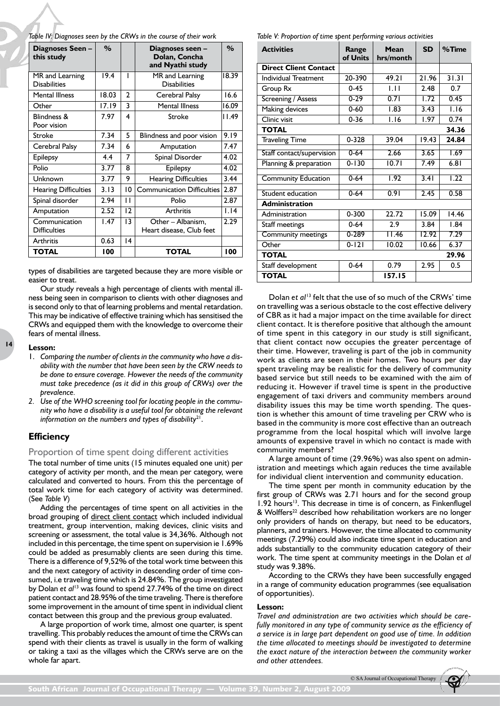*Table IV: Diagnoses seen by the CRWs in the course of their work*

| Diagnoses Seen -<br>this study         | $\%$  |                    | Diagnoses seen -<br>Dolan, Concha<br>and Nyathi study | $\%$  |
|----------------------------------------|-------|--------------------|-------------------------------------------------------|-------|
| MR and Learning<br><b>Disabilities</b> | 19.4  | ı                  | MR and Learning<br><b>Disabilities</b>                | 18.39 |
| <b>Mental Illness</b>                  | 18.03 | 2                  | Cerebral Palsy                                        | 16.6  |
| Other                                  | 17.19 | 3                  | <b>Mental Illness</b>                                 | 16.09 |
| Blindness &<br>Poor vision             | 7.97  | $\overline{\bf 4}$ | Stroke                                                | 11.49 |
| <b>Stroke</b>                          | 7.34  | 5                  | Blindness and poor vision                             | 9.19  |
| Cerebral Palsy                         | 7.34  | 6                  | Amputation                                            | 7.47  |
| <b>Epilepsy</b>                        | 4.4   | 7                  | Spinal Disorder                                       | 4.02  |
| Polio                                  | 3.77  | 8                  | Epilepsy                                              | 4.02  |
| Unknown                                | 3.77  | 9                  | <b>Hearing Difficulties</b>                           | 3.44  |
| <b>Hearing Difficulties</b>            | 3.13  | 10                 | <b>Communication Difficulties</b>                     | 2.87  |
| Spinal disorder                        | 2.94  | $\mathbf{1}$       | Polio                                                 | 2.87  |
| Amputation                             | 2.52  | 12                 | <b>Arthritis</b>                                      | 1.14  |
| Communication<br><b>Difficulties</b>   | 1.47  | 13                 | Other - Albanism.<br>Heart disease, Club feet         | 2.29  |
| <b>Arthritis</b>                       | 0.63  | 14                 |                                                       |       |
| TOTAL                                  | 100   |                    | <b>TOTAL</b>                                          | 100   |

types of disabilities are targeted because they are more visible or easier to treat.

Our study reveals a high percentage of clients with mental illness being seen in comparison to clients with other diagnoses and is second only to that of learning problems and mental retardation. This may be indicative of effective training which has sensitised the CRWs and equipped them with the knowledge to overcome their fears of mental illness.

#### **Lesson:**

**14**

- 1. *Comparing the number of clients in the community who have a disability with the number that have been seen by the CRW needs to be done to ensure coverage. However the needs of the community must take precedence (as it did in this group of CRWs) over the prevalence.*
- *2. Use of the WHO screening tool for locating people in the community who have a disability is a useful tool for obtaining the relevant information on the numbers and types of disability*21.

## **Efficiency**

#### Proportion of time spent doing different activities

The total number of time units (15 minutes equaled one unit) per category of activity per month, and the mean per category, were calculated and converted to hours. From this the percentage of total work time for each category of activity was determined. (See *Table V*)

Adding the percentages of time spent on all activities in the broad grouping of direct client contact which included individual treatment, group intervention, making devices, clinic visits and screening or assessment, the total value is 34,36%. Although not included in this percentage, the time spent on supervision ie 1.69% could be added as presumably clients are seen during this time. There is a difference of 9,52% of the total work time between this and the next category of activity in descending order of time consumed, i.e traveling time which is 24.84%. The group investigated by Dolan *et al*13 was found to spend 27.74% of the time on direct patient contact and 28.95% of the time traveling. There is therefore some improvement in the amount of time spent in individual client contact between this group and the previous group evaluated.

A large proportion of work time, almost one quarter, is spent travelling. This probably reduces the amount of time the CRWs can spend with their clients as travel is usually in the form of walking or taking a taxi as the villages which the CRWs serve are on the whole far apart.

*Table V: Proportion of time spent performing various activities*

| <b>Activities</b>            | Range<br>of Units | Mean<br>hrs/month | <b>SD</b> | $%$ Time |
|------------------------------|-------------------|-------------------|-----------|----------|
| <b>Direct Client Contact</b> |                   |                   |           |          |
| <b>Individual Treatment</b>  | 20-390            | 49.21             | 21.96     | 31.31    |
| Group Rx                     | $0 - 45$          | 1.11              | 2.48      | 0.7      |
| Screening / Assess           | $0 - 29$          | 0.71              | 1.72      | 0.45     |
| Making devices               | $0 - 60$          | 1.83              | 3.43      | 1.16     |
| Clinic visit                 | $0 - 36$          | 1.16              | 1.97      | 0.74     |
| <b>TOTAL</b>                 |                   |                   |           | 34.36    |
| <b>Traveling Time</b>        | $0 - 328$         | 39.04             | 19.43     | 24.84    |
| Staff contact/supervision    | $0 - 64$          | 2.66              | 3.65      | 1.69     |
| Planning & preparation       | $0 - 130$         | 10.71             | 7.49      | 6.81     |
| <b>Community Education</b>   | $0 - 64$          | 1.92              | 3.41      | 1.22     |
| Student education            | $0 - 64$          | 0.91              | 2.45      | 0.58     |
| <b>Administration</b>        |                   |                   |           |          |
| Administration               | 0-300             | 22.72             | 15.09     | 14.46    |
| Staff meetings               | $0 - 64$          | 2.9               | 3.84      | 1.84     |
| Community meetings           | $0 - 289$         | 11.46             | 12.92     | 7.29     |
| Other                        | $0 - 121$         | 10.02             | 10.66     | 6.37     |
| <b>TOTAL</b>                 |                   |                   |           | 29.96    |
| Staff development            | $0 - 64$          | 0.79              | 2.95      | 0.5      |
| <b>TOTAL</b>                 |                   | 157.15            |           |          |

Dolan *et al*13 felt that the use of so much of the CRWs' time on travelling was a serious obstacle to the cost effective delivery of CBR as it had a major impact on the time available for direct client contact. It is therefore positive that although the amount of time spent in this category in our study is still significant, that client contact now occupies the greater percentage of their time. However, traveling is part of the job in community work as clients are seen in their homes. Two hours per day spent traveling may be realistic for the delivery of community based service but still needs to be examined with the aim of reducing it. However if travel time is spent in the productive engagement of taxi drivers and community members around disability issues this may be time worth spending. The question is whether this amount of time traveling per CRW who is based in the community is more cost effective than an outreach programme from the local hospital which will involve large amounts of expensive travel in which no contact is made with community members?

A large amount of time (29.96%) was also spent on administration and meetings which again reduces the time available for individual client intervention and community education.

The time spent per month in community education by the first group of CRWs was 2.71 hours and for the second group  $1.92$  hours<sup>13</sup>. This decrease in time is of concern, as Finkenflugel & Wolffers<sup>22</sup> described how rehabilitation workers are no longer only providers of hands on therapy, but need to be educators, planners, and trainers. However, the time allocated to community meetings (7.29%) could also indicate time spent in education and adds substantially to the community education category of their work. The time spent at community meetings in the Dolan *et al*  study was 9.38%.

According to the CRWs they have been successfully engaged in a range of community education programmes (see equalisation of opportunities).

#### **Lesson:**

*Travel and administration are two activities which should be carefully monitored in any type of community service as the efficiency of a service is in large part dependent on good use of time. In addition the time allocated to meetings should be investigated to determine the exact nature of the interaction between the community worker and other attendees.*

© SA Journal of Occupational Thera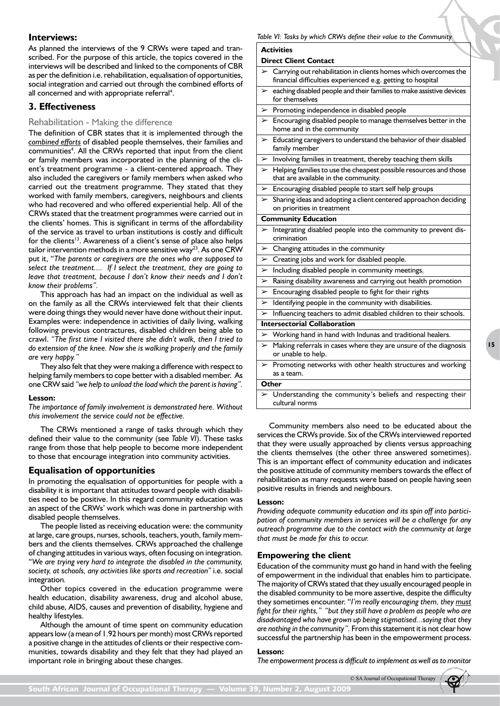## **Interviews:**

As planned the interviews of the 9 CRWs were taped and transcribed. For the purpose of this article, the topics covered in the interviews will be described and linked to the components of CBR as per the definition i.e. rehabilitation, equalisation of opportunities, social integration and carried out through the combined efforts of all concerned and with appropriate referral<sup>4</sup>.

## **3. Effectiveness**

## Rehabilitation - Making the difference

The definition of CBR states that it is implemented through the *combined efforts* of disabled people themselves, their families and communities<sup>4</sup>. All the CRWs reported that input from the client or family members was incorporated in the planning of the client's treatment programme - a client-centered approach. They also included the caregivers or family members when asked who carried out the treatment programme. They stated that they worked with family members, caregivers, neighbours and clients who had recovered and who offered experiential help. All of the CRWs stated that the treatment programmes were carried out in the clients' homes. This is significant in terms of the affordability of the service as travel to urban institutions is costly and difficult for the clients<sup>13</sup>. Awareness of a client's sense of place also helps tailor intervention methods in a more sensitive way<sup>23</sup>. As one CRW put it, "*The parents or caregivers are the ones who are supposed to select the treatment.... If I select the treatment, they are going to leave that treatment, because I don't know their needs and I don't know their problems".*

This approach has had an impact on the individual as well as on the family as all the CRWs interviewed felt that their clients were doing things they would never have done without their input. Examples were: independence in activities of daily living, walking following previous contractures, disabled children being able to crawl. *"The first time I visited there she didn't walk, then I tried to do extension of the knee. Now she is walking properly and the family are very happy."* 

They also felt that they were making a difference with respect to helping family members to cope better with a disabled member. As one CRW said *"we help to unload the load which the parent is having".*

#### **Lesson:**

*The importance of family involvement is demonstrated here. Without this involvement the service could not be effective.*

The CRWs mentioned a range of tasks through which they defined their value to the community (see *Table VI*). These tasks range from those that help people to become more independent to those that encourage integration into community activities.

## **Equalisation of opportunities**

In promoting the equalisation of opportunities for people with a disability it is important that attitudes toward people with disabilities need to be positive. In this regard community education was an aspect of the CRWs' work which was done in partnership with disabled people themselves.

The people listed as receiving education were: the community at large, care groups, nurses, schools, teachers, youth, family members and the clients themselves. CRWs approached the challenge of changing attitudes in various ways, often focusing on integration. "*We are trying very hard to integrate the disabled in the community, society, at schools, any activities like sports and recreation"* i.e. social integration*.* 

Other topics covered in the education programme were health education, disability awareness, drug and alcohol abuse, child abuse, AIDS, causes and prevention of disability, hygiene and healthy lifestyles.

Although the amount of time spent on community education appears low (a mean of 1.92 hours per month) most CRWs reported a positive change in the attitudes of clients or their respective communities, towards disability and they felt that they had played an important role in bringing about these changes.

#### *Table VI: Tasks by which CRWs define their value to the Community*

#### **Activities**

#### **Direct Client Contact**

- ➢ Carrying out rehabilitation in clients homes which overcomes the financial difficulties experienced e.g. getting to hospital
- eaching disabled people and their families to make assistive devices for themselves
- $\triangleright$  Promoting independence in disabled people
- ➢ Encouraging disabled people to manage themselves better in the home and in the community
- ➢ Educating caregivers to understand the behavior of their disabled family member
- ➢ Involving families in treatment, thereby teaching them skills
- Helping families to use the cheapest possible resources and those that are available in the community.
- ➢ Encouraging disabled people to start self help groups
- Sharing ideas and adopting a client centered approachon deciding on priorities in treatment

#### **Community Education**

- ➢ Integrating disabled people into the community to prevent discrimination
- ➢ Changing attitudes in the community
- ➢ Creating jobs and work for disabled people.
- ➢ Including disabled people in community meetings.
- Raising disability awareness and carrying out health promotion
- ➢ Encouraging disabled people to fight for their rights
- Identifying people in the community with disabilities.
- ➢ Influencing teachers to admit disabled children to their schools.

#### **Intersectorial Collaboration**

- ➢ Working hand in hand with Indunas and traditional healers. Making referrals in cases where they are unsure of the diagnosis or unable to help.
- ➢ Promoting networks with other health structures and working as a team.

#### **Other**

Understanding the community's beliefs and respecting their cultural norms

Community members also need to be educated about the services the CRWs provide. Six of the CRWs interviewed reported that they were usually approached by clients versus approaching the clients themselves (the other three answered sometimes). This is an important effect of community education and indicates the positive attitude of community members towards the effect of rehabilitation as many requests were based on people having seen positive results in friends and neighbours.

#### **Lesson:**

*Providing adequate community education and its spin off into participation of community members in services will be a challenge for any outreach programme due to the contact with the community at large that must be made for this to occur.*

#### **Empowering the client**

Education of the community must go hand in hand with the feeling of empowerment in the individual that enables him to participate. The majority of CRWs stated that they usually encouraged people in the disabled community to be more assertive, despite the difficulty they sometimes encounter. "*I'm really encouraging them, they must fight for their rights," "but they still have a problem as people who are disadvantaged who have grown up being stigmatised...saying that they are nothing in the community".* From this statement it is not clear how successful the partnership has been in the empowerment process.

#### **Lesson:**

*The empowerment process is difficult to implement as well as to monitor*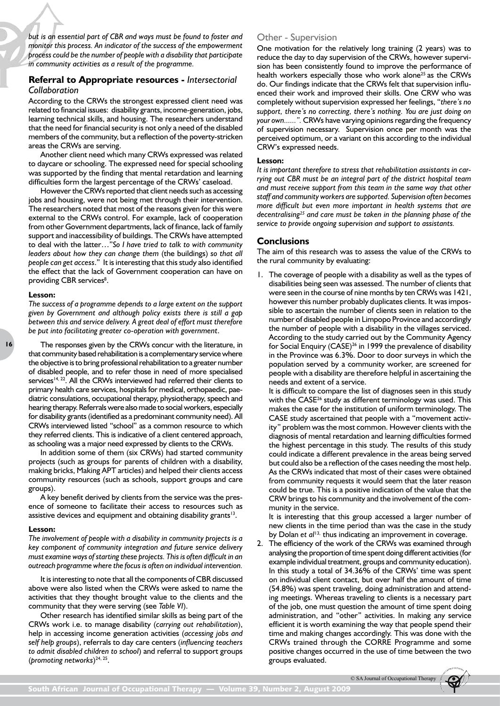*but is an essential part of CBR and ways must be found to foster and monitor this process. An indicator of the success of the empowerment process could be the number of people with a disability that participate in community activities as a result of the programme.*

## **Referral to Appropriate resources -** *Intersectorial Collaboration*

According to the CRWs the strongest expressed client need was related to financial issues: disability grants, income-generation, jobs, learning technical skills, and housing. The researchers understand that the need for financial security is not only a need of the disabled members of the community, but a reflection of the poverty-stricken areas the CRWs are serving.

Another client need which many CRWs expressed was related to daycare or schooling. The expressed need for special schooling was supported by the finding that mental retardation and learning difficulties form the largest percentage of the CRWs' caseload.

However the CRWs reported that client needs such as accessing jobs and housing, were not being met through their intervention. The researchers noted that most of the reasons given for this were external to the CRWs control. For example, lack of cooperation from other Government departments, lack of finance, lack of family support and inaccessibility of buildings. The CRWs have attempted to deal with the latter…"*So I have tried to talk to with community leaders about how they can change them* (the buildings) *so that all people can get access*." It is interesting that this study also identified the effect that the lack of Government cooperation can have on providing CBR services<sup>8</sup>.

#### **Lesson:**

*The success of a programme depends to a large extent on the support given by Government and although policy exists there is still a gap between this and service delivery. A great deal of effort must therefore be put into facilitating greater co-operation with government*.

The responses given by the CRWs concur with the literature, in that community based rehabilitation is a complementary service where the objective is to bring professional rehabilitation to a greater number of disabled people, and to refer those in need of more specialised services<sup>14, 22</sup>. All the CRWs interviewed had referred their clients to primary health care services, hospitals for medical, orthopaedic, paediatric consulations, occupational therapy, physiotherapy, speech and hearing therapy. Referrals were also made to social workers, especially for disability grants (identified as a predominant community need). All CRWs interviewed listed "school" as a common resource to which they referred clients. This is indicative of a client centered approach, as schooling was a major need expressed by clients to the CRWs.

In addition some of them (six CRWs) had started community projects (such as groups for parents of children with a disability, making bricks, Making APT articles) and helped their clients access community resources (such as schools, support groups and care groups).

A key benefit derived by clients from the service was the presence of someone to facilitate their access to resources such as assistive devices and equipment and obtaining disability grants<sup>13</sup>.

#### **Lesson:**

*The involvement of people with a disability in community projects is a key component of community integration and future service delivery must examine ways of starting these projects. This is often difficult in an outreach programme where the focus is often on individual intervention.*

It is interesting to note that all the components of CBR discussed above were also listed when the CRWs were asked to name the activities that they thought brought value to the clients and the community that they were serving (see *Table VI*).

Other research has identified similar skills as being part of the CRWs work i.e. to manage disability (*carrying out rehabilitation*), help in accessing income generation activities (*accessing jobs and self help groups*), referrals to day care centers (*influencing teachers to admit disabled children to school*) and referral to support groups (*promoting networks*) 24, 25.

## Other - Supervision

One motivation for the relatively long training (2 years) was to reduce the day to day supervision of the CRWs, however supervision has been consistently found to improve the performance of health workers especially those who work alone<sup>25</sup> as the CRWs do. Our findings indicate that the CRWs felt that supervision influenced their work and improved their skills. One CRW who was completely without supervision expressed her feelings, "*there's no support, there's no correcting, there's nothing. You are just doing on your own......".* CRWs have varying opinions regarding the frequency of supervision necessary. Supervision once per month was the perceived optimum, or a variant on this according to the individual CRW's expressed needs.

#### **Lesson:**

*It is important therefore to stress that rehabilitation assistants in carrying out CBR must be an integral part of the district hospital team and must receive support from this team in the same way that other staff and community workers are supported. Supervision often becomes more difficult but even more important in health systems that are decentralising25 and care must be taken in the planning phase of the service to provide ongoing supervision and support to assistants.*

#### **Conclusions**

The aim of this research was to assess the value of the CRWs to the rural community by evaluating:

1. The coverage of people with a disability as well as the types of disabilities being seen was assessed. The number of clients that were seen in the course of nine months by ten CRWs was 1421, however this number probably duplicates clients. It was impossible to ascertain the number of clients seen in relation to the number of disabled people in Limpopo Province and accordingly the number of people with a disability in the villages serviced. According to the study carried out by the Community Agency for Social Enquiry (CASE)<sup>26</sup> in 1999 the prevalence of disability in the Province was 6.3%. Door to door surveys in which the population served by a community worker, are screened for people with a disability are therefore helpful in ascertaining the needs and extent of a service.

It is difficult to compare the list of diagnoses seen in this study with the CASE<sup>26</sup> study as different terminology was used. This makes the case for the institution of uniform terminology. The CASE study ascertained that people with a "movement activity" problem was the most common. However clients with the diagnosis of mental retardation and learning difficulties formed the highest percentage in this study. The results of this study could indicate a different prevalence in the areas being served but could also be a reflection of the cases needing the most help. As the CRWs indicated that most of their cases were obtained from community requests it would seem that the later reason could be true. This is a positive indication of the value that the CRW brings to his community and the involvement of the community in the service.

It is interesting that this group accessed a larger number of new clients in the time period than was the case in the study by Dolan *et al*<sup>13,</sup> thus indicating an improvement in coverage.

2. The efficiency of the work of the CRWs was examined through analysing the proportion of time spent doing different activities (for example individual treatment, groups and community education). In this study a total of 34.36% of the CRWs' time was spent on individual client contact, but over half the amount of time (54.8%) was spent traveling, doing administration and attending meetings. Whereas traveling to clients is a necessary part of the job, one must question the amount of time spent doing administration, and "other" activities. In making any service efficient it is worth examining the way that people spend their time and making changes accordingly. This was done with the CRWs trained through the CORRE Programme and some positive changes occurred in the use of time between the two groups evaluated.

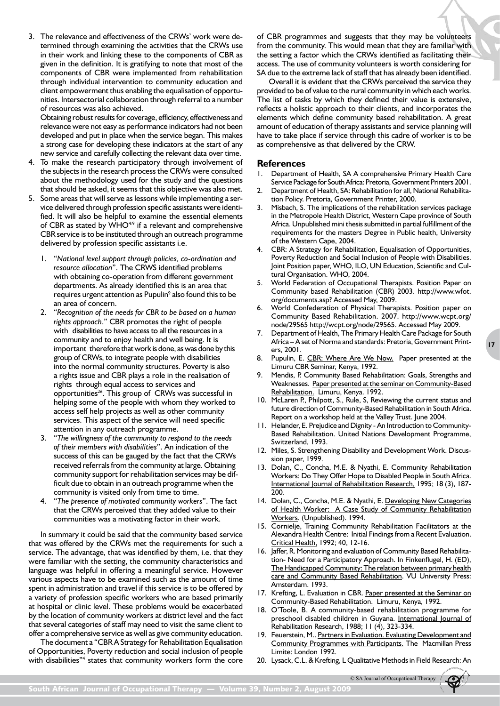3. The relevance and effectiveness of the CRWs' work were determined through examining the activities that the CRWs use in their work and linking these to the components of CBR as given in the definition. It is gratifying to note that most of the components of CBR were implemented from rehabilitation through individual intervention to community education and client empowerment thus enabling the equalisation of opportunities. Intersectorial collaboration through referral to a number of resources was also achieved.

Obtaining robust results for coverage, efficiency, effectiveness and relevance were not easy as performance indicators had not been developed and put in place when the service began. This makes a strong case for developing these indicators at the start of any new service and carefully collecting the relevant data over time.

- 4. To make the research participatory through involvement of the subjects in the research process the CRWs were consulted about the methodology used for the study and the questions that should be asked, it seems that this objective was also met.
- 5. Some areas that will serve as lessons while implementing a service delivered through profession specific assistants were identified. It will also be helpful to examine the essential elements of CBR as stated by WHO<sup>4.9</sup> if a relevant and comprehensive CBR service is to be instituted through an outreach programme delivered by profession specific assistants i.e.
	- 1. "*National level support through policies, co-ordination and resource allocation*". The CRWS identified problems with obtaining co-operation from different government departments. As already identified this is an area that requires urgent attention as Pupulin<sup>9</sup> also found this to be an area of concern.
	- 2. "*Recognition of the needs for CBR to be based on a human rights approach*." CBR promotes the right of people with disabilities to have access to all the resources in a community and to enjoy health and well being. It is important therefore that work is done, as was done by this group of CRWs, to integrate people with disabilities into the normal community structures. Poverty is also a rights issue and CBR plays a role in the realisation of rights through equal access to services and opportunities<sup>26</sup>. This group of CRWs was successful in helping some of the people with whom they worked to access self help projects as well as other community services. This aspect of the service will need specific attention in any outreach programme.
	- 3. "*The willingness of the community to respond to the needs of their members with disabilities*". An indication of the success of this can be gauged by the fact that the CRWs received referrals from the community at large. Obtaining community support for rehabilitation services may be difficult due to obtain in an outreach programme when the community is visited only from time to time.
	- 4. "*The presence of motivated community workers*". The fact that the CRWs perceived that they added value to their communities was a motivating factor in their work.

In summary it could be said that the community based service that was offered by the CRWs met the requirements for such a service. The advantage, that was identified by them, i.e. that they were familiar with the setting, the community characteristics and language was helpful in offering a meaningful service. However various aspects have to be examined such as the amount of time spent in administration and travel if this service is to be offered by a variety of profession specific workers who are based primarily at hospital or clinic level. These problems would be exacerbated by the location of community workers at district level and the fact that several categories of staff may need to visit the same client to offer a comprehensive service as well as give community education.

The document a "CBR A Strategy for Rehabilitation Equalisation of Opportunities, Poverty reduction and social inclusion of people with disabilities"<sup>4</sup> states that community workers form the core of CBR programmes and suggests that they may be volunteers from the community. This would mean that they are familiar with the setting a factor which the CRWs identified as facilitating their access. The use of community volunteers is worth considering for SA due to the extreme lack of staff that has already been identified.

Overall it is evident that the CRWs perceived the service they provided to be of value to the rural community in which each works. The list of tasks by which they defined their value is extensive, reflects a holistic approach to their clients, and incorporates the elements which define community based rehabilitation. A great amount of education of therapy assistants and service planning will have to take place if service through this cadre of worker is to be as comprehensive as that delivered by the CRW.

### **References**

- Department of Health, SA A comprehensive Primary Health Care Service Package for South Africa: Pretoria, Government Printers 2001.
- 2. Department of Health, SA: Rehabilitation for all, National Rehabilitation Policy. Pretoria, Government Printer, 2000.
- 3. Misbach, S. The implications of the rehabilitation services package in the Metropole Health District, Western Cape province of South Africa. Unpublished mini thesis submitted in partial fulfillment of the requirements for the masters Degree in Public health, University of the Western Cape, 2004.
- CBR: A Strategy for Rehabilitation, Equalisation of Opportunities, Poverty Reduction and Social Inclusion of People with Disabilities. Joint Position paper, WHO, ILO, UN Education, Scientific and Cultural Organisation. WHO, 2004.
- 5. World Federation of Occupational Therapists. Position Paper on Community based Rehabilitation (CBR) 2003. http://www.wfot. org/documents.asp? Accessed May, 2009.
- 6. World Confederation of Physical Therapists. Position paper on Community Based Rehabilitation. 2007. http://www.wcpt.org/ node/29565 http://wcpt.org/node/29565. Accessed May 2009.
- 7. Department of Health, The Primary Health Care Package for South Africa – A set of Norma and standards: Pretoria, Government Printers, 2001.

**17**

- 8. Pupulin, E. CBR: Where Are We Now. Paper presented at the Limuru CBR Seminar, Kenya, 1992.
- Mendis, P. Community Based Rehabilitation: Goals, Strengths and Weaknesses. Paper presented at the seminar on Community-Based Rehabilitation. Limuru, Kenya. 1992.
- 10. McLaren P., Philpott, S., Rule, S, Reviewing the current status and future direction of Community-Based Rehabilitation in South Africa. Report on a workshop held at the Valley Trust. June 2004.
- 11. Helander, E. Prejudice and Dignity An Introduction to Community-**Based Rehabilitation. United Nations Development Programme,** Switzerland, 1993.
- 12. Miles, S. Strengthening Disability and Development Work. Discussion paper, 1999.
- 13. Dolan, C., Concha, M.E. & Nyathi, E. Community Rehabilitation Workers: Do They Offer Hope to Disabled People in South Africa. International Journal of Rehabilitation Research, 1995; 18 (3), 187- 200.
- 14. Dolan, C., Concha, M.E. & Nyathi, E. Developing New Categories of Health Worker: A Case Study of Community Rehabilitation Workers. (Unpublished). 1994.
- 15. Cornielje, Training Community Rehabilitation Facilitators at the Alexandra Health Centre: Initial Findings from a Recent Evaluation. Critical Health, 1992; 40, 12-16.
- 16. Jaffer, R. Monitoring and evaluation of Community Based Rehabilitation- Need for a Participatory Approach. In Finkenflugel, H. (ED), The Handicapped Community: The relation between primary health care and Community Based Rehabilitation. VU University Press: Amsterdam. 1993.
- 17. Krefting, L. Evaluation in CBR. Paper presented at the Seminar on Community-Based Rehabilitation. Limuru, Kenya, 1992.
- 18. O'Toole, B. A community-based rehabilitation programme for preschool disabled children in Guyana. International Journal of Rehabilitation Research, 1988; 11 (4), 323-334.
- 19. Feuerstein, M.. Partners in Evaluation. Evaluating Development and Community Programmes with Participants. The Macmillan Press Limite: London 1992.
- 20. Lysack, C.L. & Krefting, L Qualitative Methods in Field Research: An